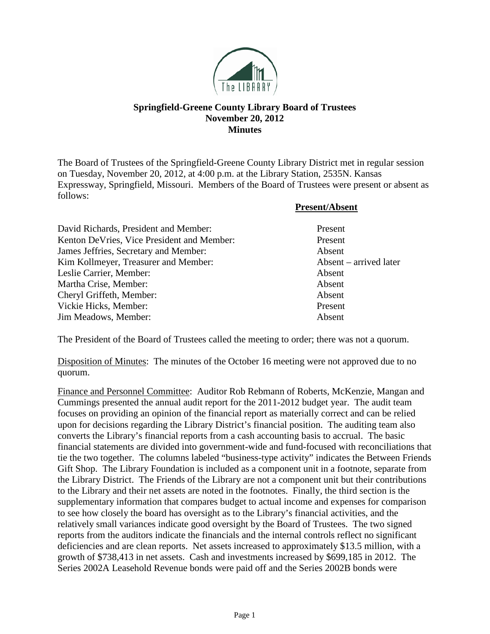

## **Springfield-Greene County Library Board of Trustees November 20, 2012 Minutes**

The Board of Trustees of the Springfield-Greene County Library District met in regular session on Tuesday, November 20, 2012, at 4:00 p.m. at the Library Station, 2535N. Kansas Expressway, Springfield, Missouri. Members of the Board of Trustees were present or absent as follows:

**Present/Absent**

| David Richards, President and Member:      | Present                |
|--------------------------------------------|------------------------|
| Kenton DeVries, Vice President and Member: | Present                |
| James Jeffries, Secretary and Member:      | Absent                 |
| Kim Kollmeyer, Treasurer and Member:       | Absent – arrived later |
| Leslie Carrier, Member:                    | Absent                 |
| Martha Crise, Member:                      | Absent                 |
| Cheryl Griffeth, Member:                   | Absent                 |
| Vickie Hicks, Member:                      | Present                |
| Jim Meadows, Member:                       | Absent                 |

The President of the Board of Trustees called the meeting to order; there was not a quorum.

Disposition of Minutes: The minutes of the October 16 meeting were not approved due to no quorum.

Finance and Personnel Committee: Auditor Rob Rebmann of Roberts, McKenzie, Mangan and Cummings presented the annual audit report for the 2011-2012 budget year. The audit team focuses on providing an opinion of the financial report as materially correct and can be relied upon for decisions regarding the Library District's financial position. The auditing team also converts the Library's financial reports from a cash accounting basis to accrual. The basic financial statements are divided into government-wide and fund-focused with reconciliations that tie the two together. The columns labeled "business-type activity" indicates the Between Friends Gift Shop. The Library Foundation is included as a component unit in a footnote, separate from the Library District. The Friends of the Library are not a component unit but their contributions to the Library and their net assets are noted in the footnotes. Finally, the third section is the supplementary information that compares budget to actual income and expenses for comparison to see how closely the board has oversight as to the Library's financial activities, and the relatively small variances indicate good oversight by the Board of Trustees. The two signed reports from the auditors indicate the financials and the internal controls reflect no significant deficiencies and are clean reports. Net assets increased to approximately \$13.5 million, with a growth of \$738,413 in net assets. Cash and investments increased by \$699,185 in 2012. The Series 2002A Leasehold Revenue bonds were paid off and the Series 2002B bonds were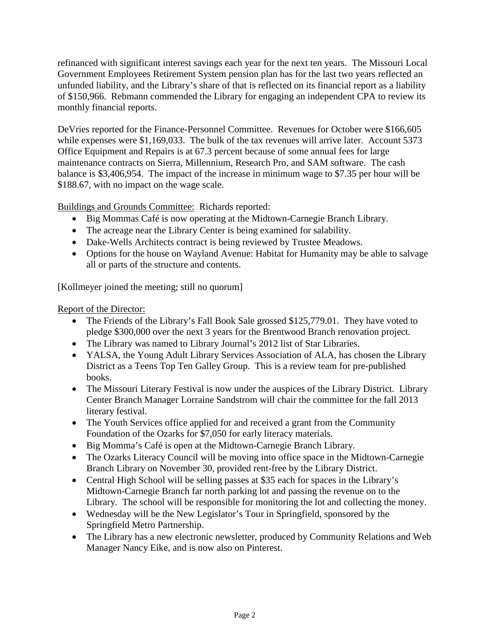refinanced with significant interest savings each year for the next ten years. The Missouri Local Government Employees Retirement System pension plan has for the last two years reflected an unfunded liability, and the Library's share of that is reflected on its financial report as a liability of \$150,966. Rebmann commended the Library for engaging an independent CPA to review its monthly financial reports.

DeVries reported for the Finance-Personnel Committee. Revenues for October were \$166,605 while expenses were \$1,169,033. The bulk of the tax revenues will arrive later. Account 5373 Office Equipment and Repairs is at 67.3 percent because of some annual fees for large maintenance contracts on Sierra, Millennium, Research Pro, and SAM software. The cash balance is \$3,406,954. The impact of the increase in minimum wage to \$7.35 per hour will be \$188.67, with no impact on the wage scale.

Buildings and Grounds Committee: Richards reported:

- Big Mommas Café is now operating at the Midtown-Carnegie Branch Library.
- The acreage near the Library Center is being examined for salability.
- Dake-Wells Architects contract is being reviewed by Trustee Meadows.
- Options for the house on Wayland Avenue: Habitat for Humanity may be able to salvage all or parts of the structure and contents.

[Kollmeyer joined the meeting; still no quorum]

## Report of the Director:

- The Friends of the Library's Fall Book Sale grossed \$125,779.01. They have voted to pledge \$300,000 over the next 3 years for the Brentwood Branch renovation project.
- The Library was named to Library Journal's 2012 list of Star Libraries.
- YALSA, the Young Adult Library Services Association of ALA, has chosen the Library District as a Teens Top Ten Galley Group. This is a review team for pre-published books.
- The Missouri Literary Festival is now under the auspices of the Library District. Library Center Branch Manager Lorraine Sandstrom will chair the committee for the fall 2013 literary festival.
- The Youth Services office applied for and received a grant from the Community Foundation of the Ozarks for \$7,050 for early literacy materials.
- Big Momma's Café is open at the Midtown-Carnegie Branch Library.
- The Ozarks Literacy Council will be moving into office space in the Midtown-Carnegie Branch Library on November 30, provided rent-free by the Library District.
- Central High School will be selling passes at \$35 each for spaces in the Library's Midtown-Carnegie Branch far north parking lot and passing the revenue on to the Library. The school will be responsible for monitoring the lot and collecting the money.
- Wednesday will be the New Legislator's Tour in Springfield, sponsored by the Springfield Metro Partnership.
- The Library has a new electronic newsletter, produced by Community Relations and Web Manager Nancy Eike, and is now also on Pinterest.